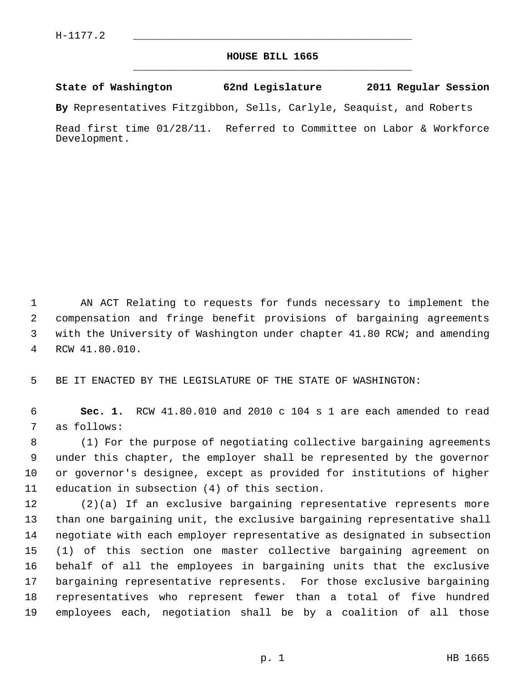## **HOUSE BILL 1665** \_\_\_\_\_\_\_\_\_\_\_\_\_\_\_\_\_\_\_\_\_\_\_\_\_\_\_\_\_\_\_\_\_\_\_\_\_\_\_\_\_\_\_\_\_

## **State of Washington 62nd Legislature 2011 Regular Session**

**By** Representatives Fitzgibbon, Sells, Carlyle, Seaquist, and Roberts

Read first time 01/28/11. Referred to Committee on Labor & Workforce Development.

 1 AN ACT Relating to requests for funds necessary to implement the 2 compensation and fringe benefit provisions of bargaining agreements 3 with the University of Washington under chapter 41.80 RCW; and amending 4 RCW 41.80.010.

5 BE IT ENACTED BY THE LEGISLATURE OF THE STATE OF WASHINGTON:

 6 **Sec. 1.** RCW 41.80.010 and 2010 c 104 s 1 are each amended to read 7 as follows:

 8 (1) For the purpose of negotiating collective bargaining agreements 9 under this chapter, the employer shall be represented by the governor 10 or governor's designee, except as provided for institutions of higher 11 education in subsection (4) of this section.

12 (2)(a) If an exclusive bargaining representative represents more 13 than one bargaining unit, the exclusive bargaining representative shall 14 negotiate with each employer representative as designated in subsection 15 (1) of this section one master collective bargaining agreement on 16 behalf of all the employees in bargaining units that the exclusive 17 bargaining representative represents. For those exclusive bargaining 18 representatives who represent fewer than a total of five hundred 19 employees each, negotiation shall be by a coalition of all those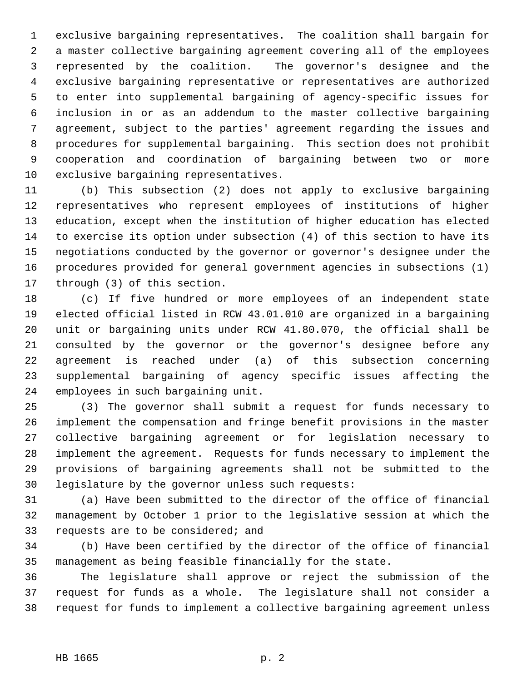1 exclusive bargaining representatives. The coalition shall bargain for 2 a master collective bargaining agreement covering all of the employees 3 represented by the coalition. The governor's designee and the 4 exclusive bargaining representative or representatives are authorized 5 to enter into supplemental bargaining of agency-specific issues for 6 inclusion in or as an addendum to the master collective bargaining 7 agreement, subject to the parties' agreement regarding the issues and 8 procedures for supplemental bargaining. This section does not prohibit 9 cooperation and coordination of bargaining between two or more 10 exclusive bargaining representatives.

11 (b) This subsection (2) does not apply to exclusive bargaining 12 representatives who represent employees of institutions of higher 13 education, except when the institution of higher education has elected 14 to exercise its option under subsection (4) of this section to have its 15 negotiations conducted by the governor or governor's designee under the 16 procedures provided for general government agencies in subsections (1) 17 through (3) of this section.

18 (c) If five hundred or more employees of an independent state 19 elected official listed in RCW 43.01.010 are organized in a bargaining 20 unit or bargaining units under RCW 41.80.070, the official shall be 21 consulted by the governor or the governor's designee before any 22 agreement is reached under (a) of this subsection concerning 23 supplemental bargaining of agency specific issues affecting the 24 employees in such bargaining unit.

25 (3) The governor shall submit a request for funds necessary to 26 implement the compensation and fringe benefit provisions in the master 27 collective bargaining agreement or for legislation necessary to 28 implement the agreement. Requests for funds necessary to implement the 29 provisions of bargaining agreements shall not be submitted to the 30 legislature by the governor unless such requests:

31 (a) Have been submitted to the director of the office of financial 32 management by October 1 prior to the legislative session at which the 33 requests are to be considered; and

34 (b) Have been certified by the director of the office of financial 35 management as being feasible financially for the state.

36 The legislature shall approve or reject the submission of the 37 request for funds as a whole. The legislature shall not consider a 38 request for funds to implement a collective bargaining agreement unless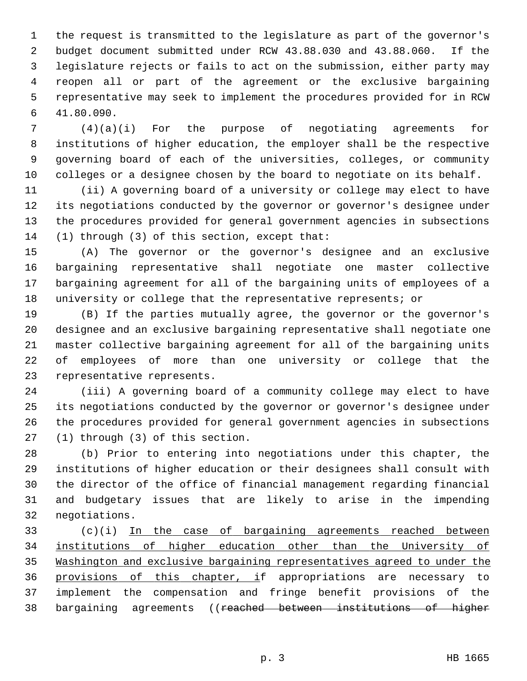1 the request is transmitted to the legislature as part of the governor's 2 budget document submitted under RCW 43.88.030 and 43.88.060. If the 3 legislature rejects or fails to act on the submission, either party may 4 reopen all or part of the agreement or the exclusive bargaining 5 representative may seek to implement the procedures provided for in RCW 6 41.80.090.

 7 (4)(a)(i) For the purpose of negotiating agreements for 8 institutions of higher education, the employer shall be the respective 9 governing board of each of the universities, colleges, or community 10 colleges or a designee chosen by the board to negotiate on its behalf.

11 (ii) A governing board of a university or college may elect to have 12 its negotiations conducted by the governor or governor's designee under 13 the procedures provided for general government agencies in subsections 14 (1) through (3) of this section, except that:

15 (A) The governor or the governor's designee and an exclusive 16 bargaining representative shall negotiate one master collective 17 bargaining agreement for all of the bargaining units of employees of a 18 university or college that the representative represents; or

19 (B) If the parties mutually agree, the governor or the governor's 20 designee and an exclusive bargaining representative shall negotiate one 21 master collective bargaining agreement for all of the bargaining units 22 of employees of more than one university or college that the 23 representative represents.

24 (iii) A governing board of a community college may elect to have 25 its negotiations conducted by the governor or governor's designee under 26 the procedures provided for general government agencies in subsections 27 (1) through (3) of this section.

28 (b) Prior to entering into negotiations under this chapter, the 29 institutions of higher education or their designees shall consult with 30 the director of the office of financial management regarding financial 31 and budgetary issues that are likely to arise in the impending 32 negotiations.

33 (c)(i) In the case of bargaining agreements reached between 34 institutions of higher education other than the University of 35 Washington and exclusive bargaining representatives agreed to under the 36 provisions of this chapter, if appropriations are necessary to 37 implement the compensation and fringe benefit provisions of the 38 bargaining agreements ((reached between institutions of higher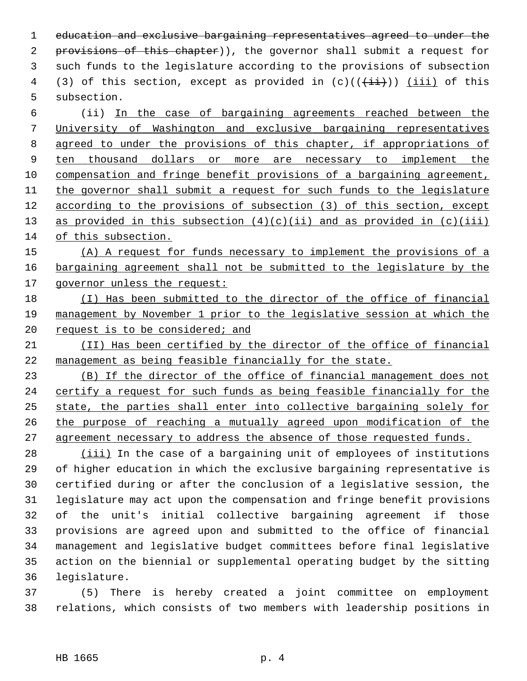1 education and exclusive bargaining representatives agreed to under the 2 provisions of this chapter)), the governor shall submit a request for 3 such funds to the legislature according to the provisions of subsection 4 (3) of this section, except as provided in  $(c)((\overrightarrow{ii}))$  (iii) of this 5 subsection.

 6 (ii) In the case of bargaining agreements reached between the University of Washington and exclusive bargaining representatives agreed to under the provisions of this chapter, if appropriations of ten thousand dollars or more are necessary to implement the compensation and fringe benefit provisions of a bargaining agreement, the governor shall submit a request for such funds to the legislature according to the provisions of subsection (3) of this section, except 13 as provided in this subsection  $(4)(c)(ii)$  and as provided in  $(c)(iii)$ of this subsection.

15 (A) A request for funds necessary to implement the provisions of a 16 bargaining agreement shall not be submitted to the legislature by the 17 governor unless the request:

- 18 (I) Has been submitted to the director of the office of financial 19 management by November 1 prior to the legislative session at which the 20 request is to be considered; and
- 21 (II) Has been certified by the director of the office of financial 22 management as being feasible financially for the state.

 (B) If the director of the office of financial management does not certify a request for such funds as being feasible financially for the state, the parties shall enter into collective bargaining solely for the purpose of reaching a mutually agreed upon modification of the agreement necessary to address the absence of those requested funds.

28 (iii) In the case of a bargaining unit of employees of institutions 29 of higher education in which the exclusive bargaining representative is 30 certified during or after the conclusion of a legislative session, the 31 legislature may act upon the compensation and fringe benefit provisions 32 of the unit's initial collective bargaining agreement if those 33 provisions are agreed upon and submitted to the office of financial 34 management and legislative budget committees before final legislative 35 action on the biennial or supplemental operating budget by the sitting 36 legislature.

37 (5) There is hereby created a joint committee on employment 38 relations, which consists of two members with leadership positions in